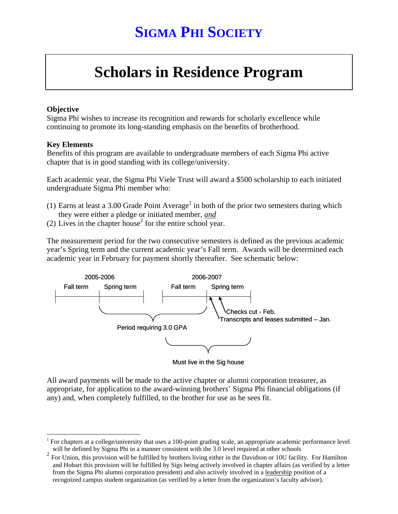## **SIGMA PHI SOCIETY**

# **Scholars in Residence Program**

#### **Objective**

Sigma Phi wishes to increase its recognition and rewards for scholarly excellence while continuing to promote its long-standing emphasis on the benefits of brotherhood.

#### **Key Elements**

 $\overline{a}$ 

Benefits of this program are available to undergraduate members of each Sigma Phi active chapter that is in good standing with its college/university.

Each academic year, the Sigma Phi Viele Trust will award a \$500 scholarship to each initiated undergraduate Sigma Phi member who:

- (1) Earns at least a 3.00 Grade Point Average<sup>1</sup> in both of the prior two semesters during which they were either a pledge or initiated member, *and*
- (2) Lives in the chapter house<sup>2</sup> for the entire school year.

The measurement period for the two consecutive semesters is defined as the previous academic year's Spring term and the current academic year's Fall term. Awards will be determined each academic year in February for payment shortly thereafter. See schematic below:



Must live in the Sig house

All award payments will be made to the active chapter or alumni corporation treasurer, as appropriate, for application to the award-winning brothers' Sigma Phi financial obligations (if any) and, when completely fulfilled, to the brother for use as he sees fit.

<sup>&</sup>lt;sup>1</sup> For chapters at a college/university that uses a 100-point grading scale, an appropriate academic performance level will be defined by Sigma Phi in a manner consistent with the 3.0 level required at other schools

 $2^2$  For Union, this provision will be fulfilled by brothers living either in the Davidson or 10U facility. For Hamilton and Hobart this provision will be fulfilled by Sigs being actively involved in chapter affairs (as verified by a letter from the Sigma Phi alumni corporation president) and also actively involved in a leadership position of a recognized campus student organization (as verified by a letter from the organization's faculty advisor).